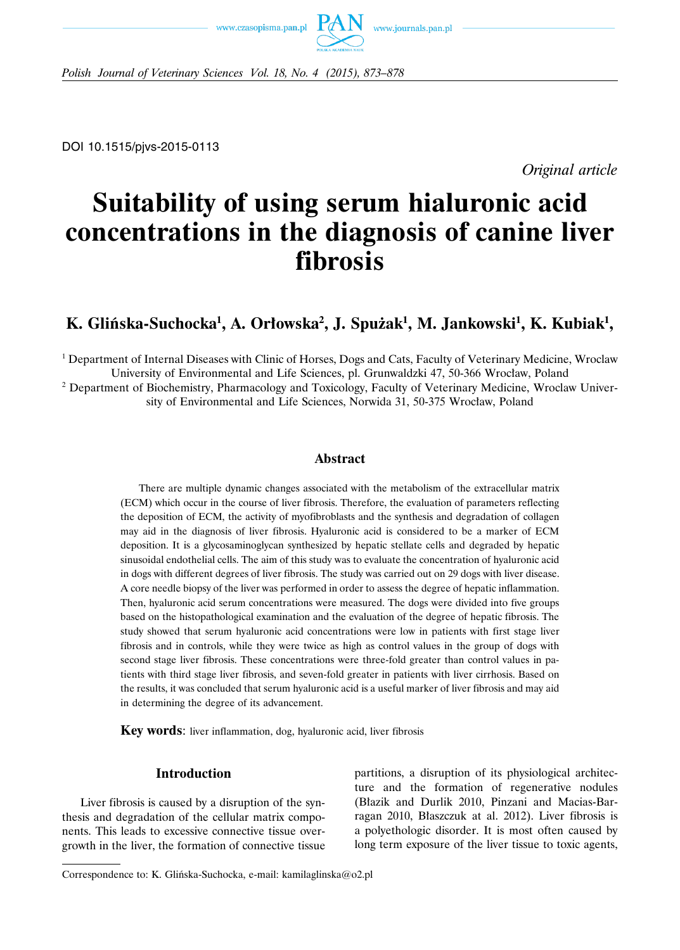



*Polish Journal of Veterinary Sciences Vol. 18, No. 4 (2015), 873–878*

DOI 10.1515/pjvs-2015-0113

*Original article*

# **Suitability of using serum hialuronic acid concentrations in the diagnosis of canine liver fibrosis**

# K. Glińska-Suchocka<sup>1</sup>, A. Orłowska<sup>2</sup>, J. Spużak<sup>1</sup>, M. Jankowski<sup>1</sup>, K. Kubiak<sup>1</sup>,

<sup>1</sup> Department of Internal Diseases with Clinic of Horses, Dogs and Cats, Faculty of Veterinary Medicine, Wroclaw University of Environmental and Life Sciences, pl. Grunwaldzki 47, 50-366 Wrocław, Poland <sup>2</sup> Department of Biochemistry, Pharmacology and Toxicology, Faculty of Veterinary Medicine, Wroclaw University of Environmental and Life Sciences, Norwida 31, 50-375 Wrocław, Poland

# **Abstract**

There are multiple dynamic changes associated with the metabolism of the extracellular matrix (ECM) which occur in the course of liver fibrosis. Therefore, the evaluation of parameters reflecting the deposition of ECM, the activity of myofibroblasts and the synthesis and degradation of collagen may aid in the diagnosis of liver fibrosis. Hyaluronic acid is considered to be a marker of ECM deposition. It is a glycosaminoglycan synthesized by hepatic stellate cells and degraded by hepatic sinusoidal endothelial cells. The aim of this study was to evaluate the concentration of hyaluronic acid in dogs with different degrees of liver fibrosis. The study was carried out on 29 dogs with liver disease. A core needle biopsy of the liver was performed in order to assess the degree of hepatic inflammation. Then, hyaluronic acid serum concentrations were measured. The dogs were divided into five groups based on the histopathological examination and the evaluation of the degree of hepatic fibrosis. The study showed that serum hyaluronic acid concentrations were low in patients with first stage liver fibrosis and in controls, while they were twice as high as control values in the group of dogs with second stage liver fibrosis. These concentrations were three-fold greater than control values in patients with third stage liver fibrosis, and seven-fold greater in patients with liver cirrhosis. Based on the results, it was concluded that serum hyaluronic acid is a useful marker of liver fibrosis and may aid in determining the degree of its advancement.

**Key words**: liver inflammation, dog, hyaluronic acid, liver fibrosis

# **Introduction**

Liver fibrosis is caused by a disruption of the synthesis and degradation of the cellular matrix components. This leads to excessive connective tissue overgrowth in the liver, the formation of connective tissue partitions, a disruption of its physiological architecture and the formation of regenerative nodules (Błazik and Durlik 2010, Pinzani and Macias-Barragan 2010, Błaszczuk at al. 2012). Liver fibrosis is a polyethologic disorder. It is most often caused by long term exposure of the liver tissue to toxic agents,

Correspondence to: K. Glińska-Suchocka, e-mail: kamilaglinska@o2.pl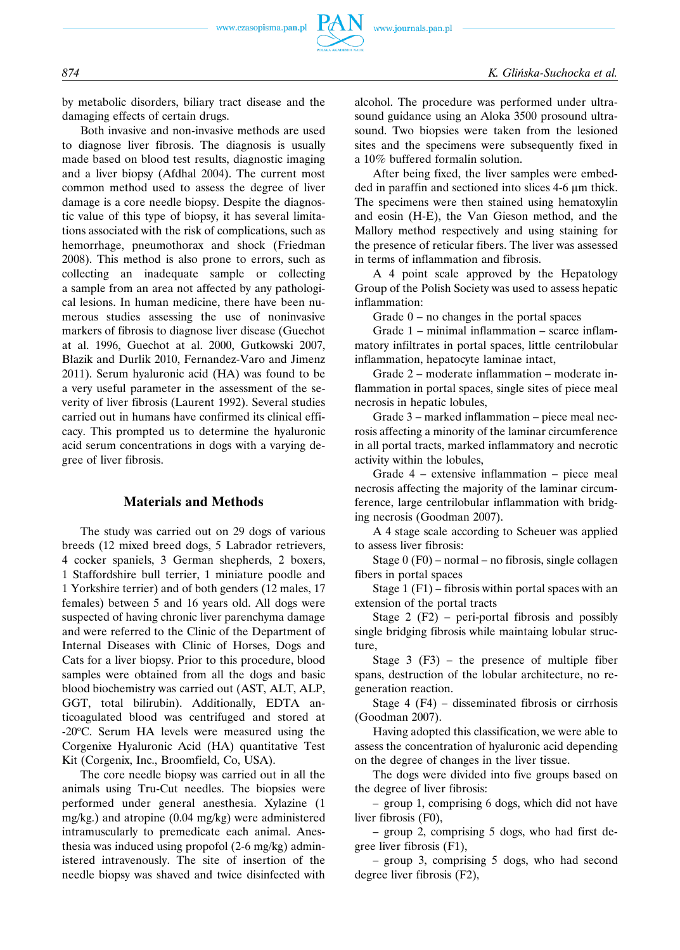by metabolic disorders, biliary tract disease and the damaging effects of certain drugs.

Both invasive and non-invasive methods are used to diagnose liver fibrosis. The diagnosis is usually made based on blood test results, diagnostic imaging and a liver biopsy (Afdhal 2004). The current most common method used to assess the degree of liver damage is a core needle biopsy. Despite the diagnostic value of this type of biopsy, it has several limitations associated with the risk of complications, such as hemorrhage, pneumothorax and shock (Friedman 2008). This method is also prone to errors, such as collecting an inadequate sample or collecting a sample from an area not affected by any pathological lesions. In human medicine, there have been numerous studies assessing the use of noninvasive markers of fibrosis to diagnose liver disease (Guechot at al. 1996, Guechot at al. 2000, Gutkowski 2007, Błazik and Durlik 2010, Fernandez-Varo and Jimenz 2011). Serum hyaluronic acid (HA) was found to be a very useful parameter in the assessment of the severity of liver fibrosis (Laurent 1992). Several studies carried out in humans have confirmed its clinical efficacy. This prompted us to determine the hyaluronic acid serum concentrations in dogs with a varying degree of liver fibrosis.

# **Materials and Methods**

The study was carried out on 29 dogs of various breeds (12 mixed breed dogs, 5 Labrador retrievers, 4 cocker spaniels, 3 German shepherds, 2 boxers, 1 Staffordshire bull terrier, 1 miniature poodle and 1 Yorkshire terrier) and of both genders (12 males, 17 females) between 5 and 16 years old. All dogs were suspected of having chronic liver parenchyma damage and were referred to the Clinic of the Department of Internal Diseases with Clinic of Horses, Dogs and Cats for a liver biopsy. Prior to this procedure, blood samples were obtained from all the dogs and basic blood biochemistry was carried out (AST, ALT, ALP, GGT, total bilirubin). Additionally, EDTA anticoagulated blood was centrifuged and stored at -20°C. Serum HA levels were measured using the Corgenixe Hyaluronic Acid (HA) quantitative Test Kit (Corgenix, Inc., Broomfield, Co, USA).

The core needle biopsy was carried out in all the animals using Tru-Cut needles. The biopsies were performed under general anesthesia. Xylazine (1 mg/kg.) and atropine (0.04 mg/kg) were administered intramuscularly to premedicate each animal. Anesthesia was induced using propofol (2-6 mg/kg) administered intravenously. The site of insertion of the needle biopsy was shaved and twice disinfected with alcohol. The procedure was performed under ultrasound guidance using an Aloka 3500 prosound ultrasound. Two biopsies were taken from the lesioned sites and the specimens were subsequently fixed in a 10% buffered formalin solution.

After being fixed, the liver samples were embedded in paraffin and sectioned into slices 4-6 μm thick. The specimens were then stained using hematoxylin and eosin (H-E), the Van Gieson method, and the Mallory method respectively and using staining for the presence of reticular fibers. The liver was assessed in terms of inflammation and fibrosis.

A 4 point scale approved by the Hepatology Group of the Polish Society was used to assess hepatic inflammation:

Grade  $0 - no$  changes in the portal spaces

Grade 1 – minimal inflammation – scarce inflammatory infiltrates in portal spaces, little centrilobular inflammation, hepatocyte laminae intact,

Grade 2 – moderate inflammation – moderate inflammation in portal spaces, single sites of piece meal necrosis in hepatic lobules,

Grade 3 – marked inflammation – piece meal necrosis affecting a minority of the laminar circumference in all portal tracts, marked inflammatory and necrotic activity within the lobules,

Grade 4 – extensive inflammation – piece meal necrosis affecting the majority of the laminar circumference, large centrilobular inflammation with bridging necrosis (Goodman 2007).

A 4 stage scale according to Scheuer was applied to assess liver fibrosis:

Stage 0 (F0) – normal – no fibrosis, single collagen fibers in portal spaces

Stage 1 (F1) – fibrosis within portal spaces with an extension of the portal tracts

Stage 2 (F2) – peri-portal fibrosis and possibly single bridging fibrosis while maintaing lobular structure,

Stage  $3$  (F3) – the presence of multiple fiber spans, destruction of the lobular architecture, no regeneration reaction.

Stage 4 (F4) – disseminated fibrosis or cirrhosis (Goodman 2007).

Having adopted this classification, we were able to assess the concentration of hyaluronic acid depending on the degree of changes in the liver tissue.

The dogs were divided into five groups based on the degree of liver fibrosis:

– group 1, comprising 6 dogs, which did not have liver fibrosis (F0),

– group 2, comprising 5 dogs, who had first degree liver fibrosis (F1),

– group 3, comprising 5 dogs, who had second degree liver fibrosis (F2),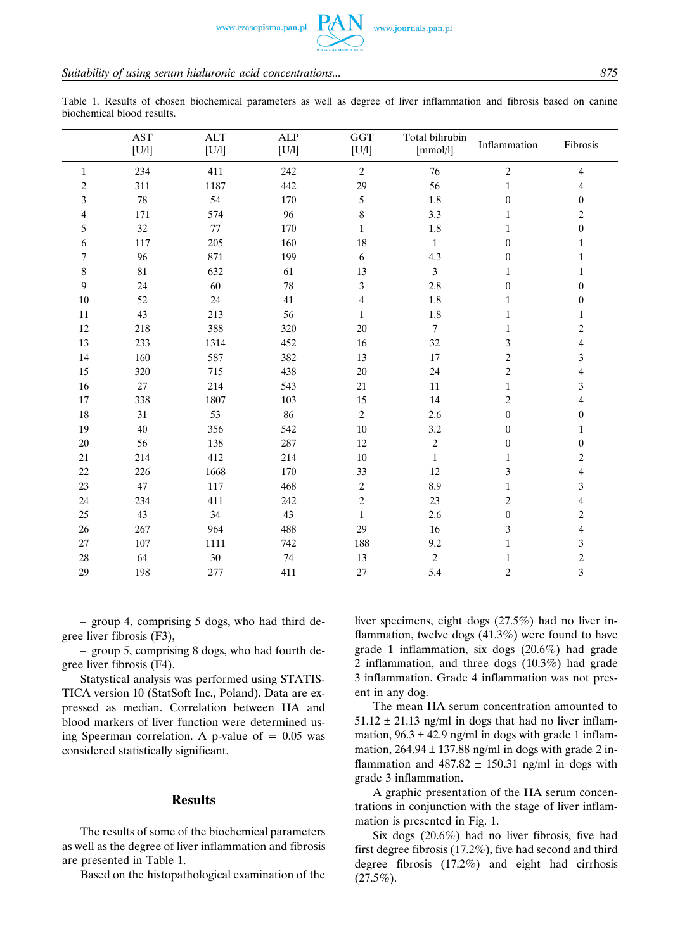www.czasopisma.pan.pl

#### *Suitability of using serum hialuronic acid concentrations... 875*

Table 1. Results of chosen biochemical parameters as well as degree of liver inflammation and fibrosis based on canine biochemical blood results.

|              | <b>AST</b><br>[U/l] | <b>ALT</b><br>[U/l] | ${\sf ALP}$<br>[U/l] | <b>GGT</b><br>[U/l]     | Total bilirubin<br>[mmol/l] | Inflammation     | Fibrosis                 |
|--------------|---------------------|---------------------|----------------------|-------------------------|-----------------------------|------------------|--------------------------|
| $\mathbf{1}$ | 234                 | 411                 | 242                  | $\overline{c}$          | 76                          | $\overline{c}$   | 4                        |
| $\mathbf{2}$ | 311                 | 1187                | 442                  | 29                      | 56                          | 1                | 4                        |
| 3            | $78\,$              | 54                  | 170                  | 5                       | 1.8                         | $\theta$         | $\boldsymbol{0}$         |
| 4            | 171                 | 574                 | 96                   | $8\,$                   | 3.3                         | 1                | $\sqrt{2}$               |
| 5            | $32\,$              | $77 \,$             | 170                  | $\mathbf{1}$            | $1.8\,$                     | 1                | $\boldsymbol{0}$         |
| 6            | 117                 | 205                 | 160                  | 18                      | $\mathbf{1}$                | $\overline{0}$   | 1                        |
| 7            | 96                  | 871                 | 199                  | 6                       | 4.3                         | $\boldsymbol{0}$ | $\mathbf{1}$             |
| 8            | $81\,$              | 632                 | 61                   | 13                      | $\mathfrak{Z}$              | 1                | $\mathbf{1}$             |
| 9            | 24                  | 60                  | 78                   | 3                       | 2.8                         | $\theta$         | $\boldsymbol{0}$         |
| 10           | 52                  | 24                  | 41                   | 4                       | $1.8\,$                     | $\mathbf{1}$     | $\boldsymbol{0}$         |
| 11           | 43                  | 213                 | 56                   | $\mathbf{1}$            | 1.8                         | 1                | $\mathbf{1}$             |
| 12           | 218                 | 388                 | 320                  | $20\,$                  | $\boldsymbol{7}$            | 1                | $\overline{c}$           |
| 13           | 233                 | 1314                | 452                  | 16                      | 32                          | $\mathfrak{Z}$   | $\overline{\mathcal{L}}$ |
| 14           | 160                 | 587                 | 382                  | 13                      | 17                          | $\overline{c}$   | 3                        |
| 15           | 320                 | 715                 | 438                  | $20\,$                  | 24                          | $\overline{c}$   | $\overline{\mathcal{L}}$ |
| 16           | 27                  | 214                 | 543                  | $21\,$                  | $11\,$                      | $\mathbf{1}$     | 3                        |
| 17           | 338                 | 1807                | 103                  | 15                      | 14                          | $\mathfrak{2}$   | $\overline{\mathbf{4}}$  |
| 18           | $31\,$              | 53                  | 86                   | $\sqrt{2}$              | 2.6                         | $\boldsymbol{0}$ | $\boldsymbol{0}$         |
| 19           | 40                  | 356                 | 542                  | $10\,$                  | 3.2                         | $\boldsymbol{0}$ | $\mathbf{1}$             |
| $20\,$       | 56                  | 138                 | 287                  | 12                      | $\sqrt{2}$                  | $\theta$         | $\boldsymbol{0}$         |
| 21           | 214                 | 412                 | 214                  | $10\,$                  | $\mathbf{1}$                | 1                | $\overline{\mathbf{c}}$  |
| 22           | 226                 | 1668                | 170                  | 33                      | 12                          | 3                | 4                        |
| 23           | 47                  | 117                 | 468                  | $\overline{\mathbf{c}}$ | 8.9                         | $\mathbf{1}$     | 3                        |
| 24           | 234                 | 411                 | 242                  | $\overline{c}$          | 23                          | $\sqrt{2}$       | $\overline{\mathcal{L}}$ |
| 25           | 43                  | 34                  | 43                   | $\mathbf{1}$            | 2.6                         | $\boldsymbol{0}$ | $\overline{c}$           |
| 26           | 267                 | 964                 | 488                  | 29                      | 16                          | 3                | 4                        |
| 27           | 107                 | 1111                | 742                  | 188                     | 9.2                         | 1                | 3                        |
| 28           | 64                  | $30\,$              | 74                   | 13                      | $\sqrt{2}$                  | 1                | $\overline{c}$           |
| 29           | 198                 | 277                 | 411                  | $27\,$                  | 5.4                         | $\overline{c}$   | 3                        |

– group 4, comprising 5 dogs, who had third degree liver fibrosis (F3),

– group 5, comprising 8 dogs, who had fourth degree liver fibrosis (F4).

Statystical analysis was performed using STATIS-TICA version 10 (StatSoft Inc., Poland). Data are expressed as median. Correlation between HA and blood markers of liver function were determined using Speerman correlation. A p-value of  $= 0.05$  was considered statistically significant.

# **Results**

The results of some of the biochemical parameters as well as the degree of liver inflammation and fibrosis are presented in Table 1.

Based on the histopathological examination of the

liver specimens, eight dogs (27.5%) had no liver inflammation, twelve dogs (41.3%) were found to have grade 1 inflammation, six dogs (20.6%) had grade 2 inflammation, and three dogs (10.3%) had grade 3 inflammation. Grade 4 inflammation was not present in any dog.

The mean HA serum concentration amounted to  $51.12 \pm 21.13$  ng/ml in dogs that had no liver inflammation,  $96.3 \pm 42.9$  ng/ml in dogs with grade 1 inflammation,  $264.94 \pm 137.88$  ng/ml in dogs with grade 2 inflammation and  $487.82 \pm 150.31$  ng/ml in dogs with grade 3 inflammation.

A graphic presentation of the HA serum concentrations in conjunction with the stage of liver inflammation is presented in Fig. 1.

Six dogs (20.6%) had no liver fibrosis, five had first degree fibrosis (17.2%), five had second and third degree fibrosis (17.2%) and eight had cirrhosis  $(27.5\%)$ .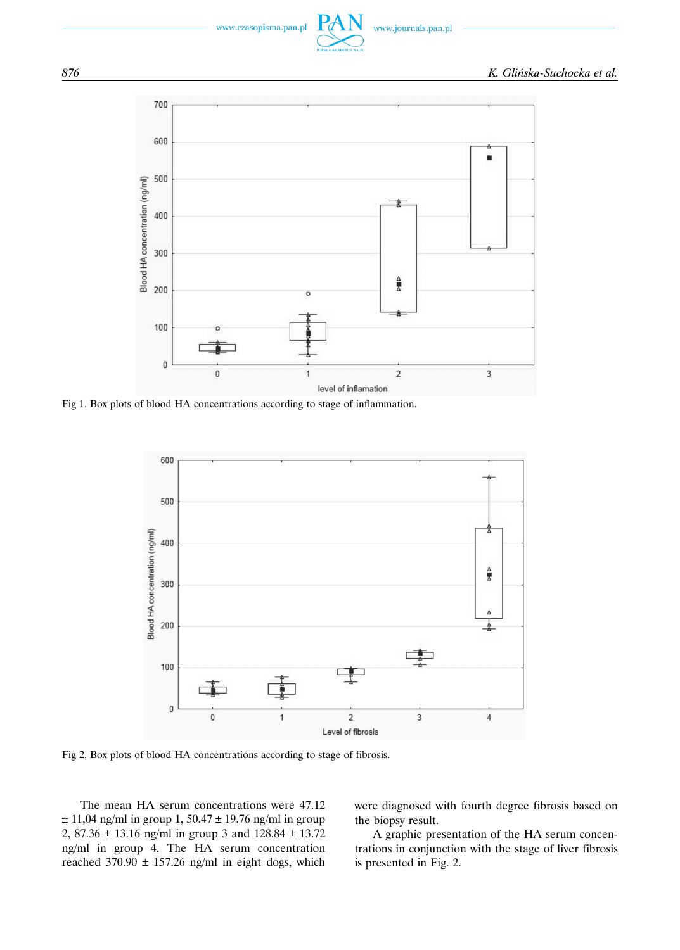



Fig 1. Box plots of blood HA concentrations according to stage of inflammation.



Fig 2. Box plots of blood HA concentrations according to stage of fibrosis.

The mean HA serum concentrations were 47.12  $\pm$  11,04 ng/ml in group 1, 50.47  $\pm$  19.76 ng/ml in group 2, 87.36 ± 13.16 ng/ml in group 3 and 128.84 ± 13.72 ng/ml in group 4. The HA serum concentration reached 370.90  $\pm$  157.26 ng/ml in eight dogs, which were diagnosed with fourth degree fibrosis based on the biopsy result.

A graphic presentation of the HA serum concentrations in conjunction with the stage of liver fibrosis is presented in Fig. 2.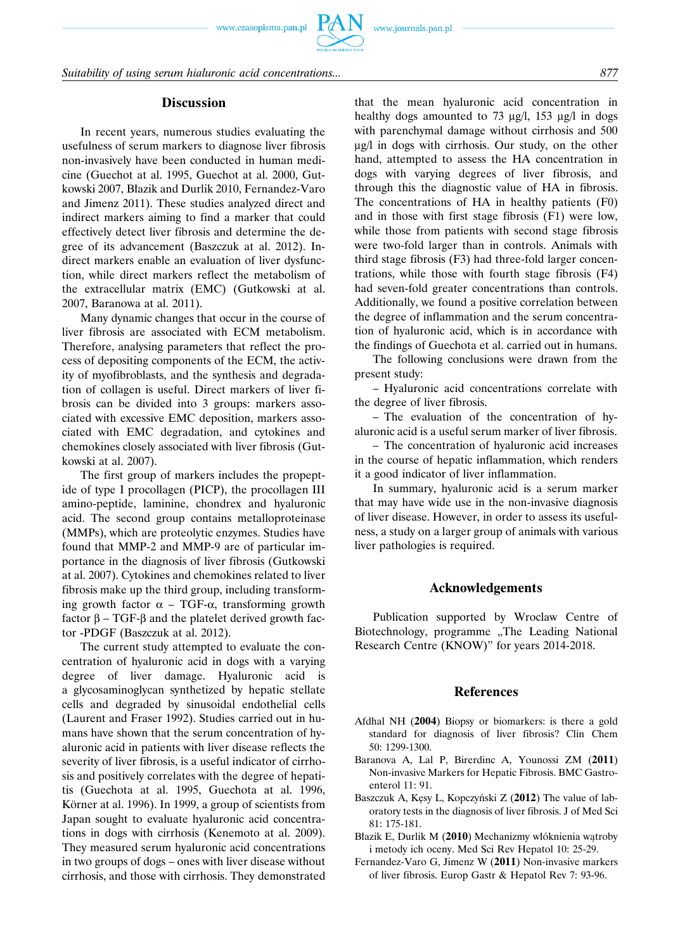www.czasopisma.pan.pl

# **Discussion**

In recent years, numerous studies evaluating the usefulness of serum markers to diagnose liver fibrosis non-invasively have been conducted in human medicine (Guechot at al. 1995, Guechot at al. 2000, Gutkowski 2007, Błazik and Durlik 2010, Fernandez-Varo and Jimenz 2011). These studies analyzed direct and indirect markers aiming to find a marker that could effectively detect liver fibrosis and determine the degree of its advancement (Baszczuk at al. 2012). Indirect markers enable an evaluation of liver dysfunction, while direct markers reflect the metabolism of the extracellular matrix (EMC) (Gutkowski at al. 2007, Baranowa at al. 2011).

Many dynamic changes that occur in the course of liver fibrosis are associated with ECM metabolism. Therefore, analysing parameters that reflect the process of depositing components of the ECM, the activity of myofibroblasts, and the synthesis and degradation of collagen is useful. Direct markers of liver fibrosis can be divided into 3 groups: markers associated with excessive EMC deposition, markers associated with EMC degradation, and cytokines and chemokines closely associated with liver fibrosis (Gutkowski at al. 2007).

The first group of markers includes the propeptide of type I procollagen (PICP), the procollagen III amino-peptide, laminine, chondrex and hyaluronic acid. The second group contains metalloproteinase (MMPs), which are proteolytic enzymes. Studies have found that MMP-2 and MMP-9 are of particular importance in the diagnosis of liver fibrosis (Gutkowski at al. 2007). Cytokines and chemokines related to liver fibrosis make up the third group, including transforming growth factor  $α - TGF-α$ , transforming growth factor β – TGF-β and the platelet derived growth factor -PDGF (Baszczuk at al. 2012).

The current study attempted to evaluate the concentration of hyaluronic acid in dogs with a varying degree of liver damage. Hyaluronic acid is a glycosaminoglycan synthetized by hepatic stellate cells and degraded by sinusoidal endothelial cells (Laurent and Fraser 1992). Studies carried out in humans have shown that the serum concentration of hyaluronic acid in patients with liver disease reflects the severity of liver fibrosis, is a useful indicator of cirrhosis and positively correlates with the degree of hepatitis (Guechota at al. 1995, Guechota at al. 1996, Körner at al. 1996). In 1999, a group of scientists from Japan sought to evaluate hyaluronic acid concentrations in dogs with cirrhosis (Kenemoto at al. 2009). They measured serum hyaluronic acid concentrations in two groups of dogs – ones with liver disease without cirrhosis, and those with cirrhosis. They demonstrated that the mean hyaluronic acid concentration in healthy dogs amounted to 73 μg/l, 153 μg/l in dogs with parenchymal damage without cirrhosis and 500 μg/l in dogs with cirrhosis. Our study, on the other hand, attempted to assess the HA concentration in dogs with varying degrees of liver fibrosis, and through this the diagnostic value of HA in fibrosis. The concentrations of HA in healthy patients (F0) and in those with first stage fibrosis (F1) were low, while those from patients with second stage fibrosis were two-fold larger than in controls. Animals with third stage fibrosis (F3) had three-fold larger concentrations, while those with fourth stage fibrosis (F4) had seven-fold greater concentrations than controls. Additionally, we found a positive correlation between the degree of inflammation and the serum concentration of hyaluronic acid, which is in accordance with the findings of Guechota et al. carried out in humans.

The following conclusions were drawn from the present study:

– Hyaluronic acid concentrations correlate with the degree of liver fibrosis.

– The evaluation of the concentration of hyaluronic acid is a useful serum marker of liver fibrosis.

– The concentration of hyaluronic acid increases in the course of hepatic inflammation, which renders it a good indicator of liver inflammation.

In summary, hyaluronic acid is a serum marker that may have wide use in the non-invasive diagnosis of liver disease. However, in order to assess its usefulness, a study on a larger group of animals with various liver pathologies is required.

#### **Acknowledgements**

Publication supported by Wroclaw Centre of Biotechnology, programme "The Leading National Research Centre (KNOW)" for years 2014-2018.

## **References**

- Afdhal NH (**2004**) Biopsy or biomarkers: is there a gold standard for diagnosis of liver fibrosis? Clin Chem 50: 1299-1300.
- Baranova A, Lal P, Birerdinc A, Younossi ZM (**2011**) Non-invasive Markers for Hepatic Fibrosis. BMC Gastroenterol 11: 91.
- Baszczuk A, Kęsy L, Kopczyński Z (**2012**) The value of laboratory tests in the diagnosis of liver fibrosis. J of Med Sci 81: 175-181.
- Błazik E, Durlik M (**2010**) Mechanizmy włóknienia wątroby i metody ich oceny. Med Sci Rev Hepatol 10: 25-29.
- Fernandez-Varo G, Jimenz W (**2011**) Non-invasive markers of liver fibrosis. Europ Gastr & Hepatol Rev 7: 93-96.